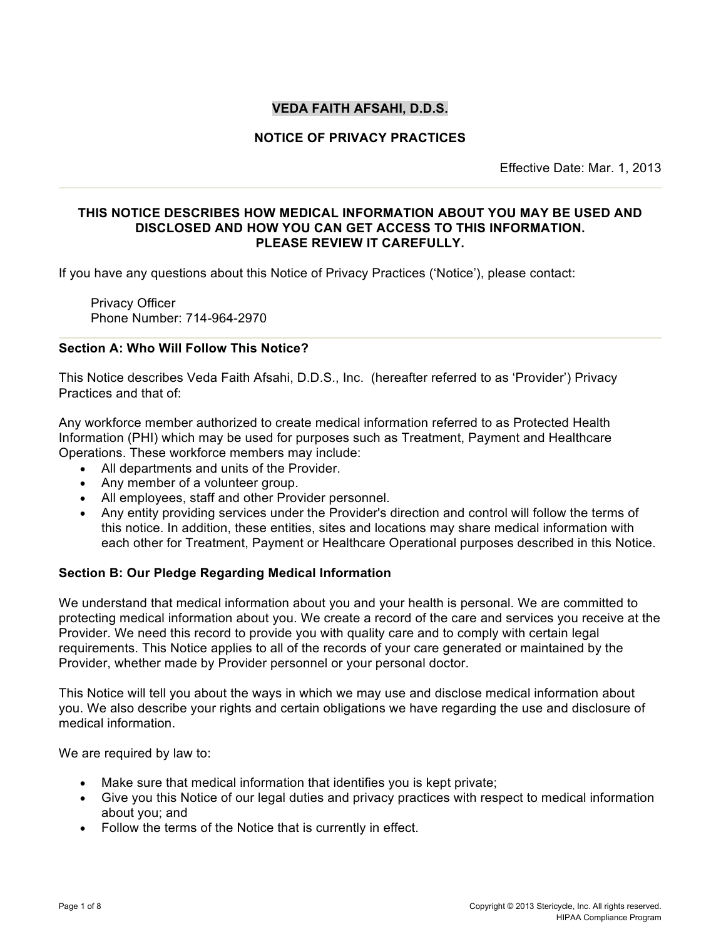## **VEDA FAITH AFSAHI, D.D.S.**

### **NOTICE OF PRIVACY PRACTICES**

Effective Date: Mar. 1, 2013

#### **THIS NOTICE DESCRIBES HOW MEDICAL INFORMATION ABOUT YOU MAY BE USED AND DISCLOSED AND HOW YOU CAN GET ACCESS TO THIS INFORMATION. PLEASE REVIEW IT CAREFULLY.**

If you have any questions about this Notice of Privacy Practices ('Notice'), please contact:

Privacy Officer Phone Number: 714-964-2970

## **Section A: Who Will Follow This Notice?**

This Notice describes Veda Faith Afsahi, D.D.S., Inc. (hereafter referred to as 'Provider') Privacy Practices and that of:

Any workforce member authorized to create medical information referred to as Protected Health Information (PHI) which may be used for purposes such as Treatment, Payment and Healthcare Operations. These workforce members may include:

- All departments and units of the Provider.
- Any member of a volunteer group.
- All employees, staff and other Provider personnel.
- Any entity providing services under the Provider's direction and control will follow the terms of this notice. In addition, these entities, sites and locations may share medical information with each other for Treatment, Payment or Healthcare Operational purposes described in this Notice.

## **Section B: Our Pledge Regarding Medical Information**

We understand that medical information about you and your health is personal. We are committed to protecting medical information about you. We create a record of the care and services you receive at the Provider. We need this record to provide you with quality care and to comply with certain legal requirements. This Notice applies to all of the records of your care generated or maintained by the Provider, whether made by Provider personnel or your personal doctor.

This Notice will tell you about the ways in which we may use and disclose medical information about you. We also describe your rights and certain obligations we have regarding the use and disclosure of medical information.

We are required by law to:

- Make sure that medical information that identifies you is kept private;
- Give you this Notice of our legal duties and privacy practices with respect to medical information about you; and
- Follow the terms of the Notice that is currently in effect.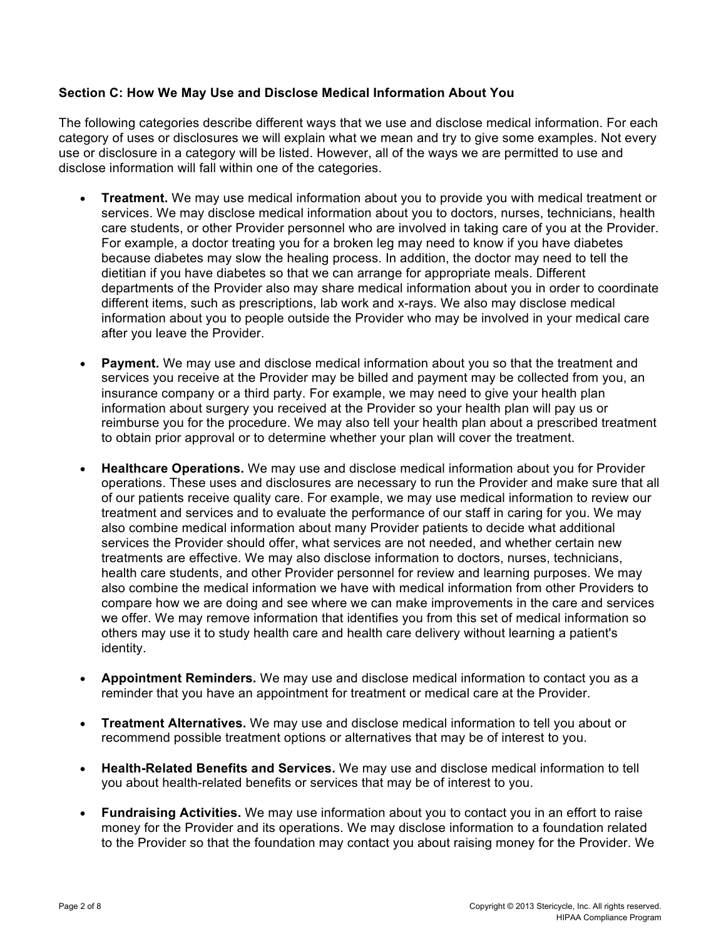## **Section C: How We May Use and Disclose Medical Information About You**

The following categories describe different ways that we use and disclose medical information. For each category of uses or disclosures we will explain what we mean and try to give some examples. Not every use or disclosure in a category will be listed. However, all of the ways we are permitted to use and disclose information will fall within one of the categories.

- **Treatment.** We may use medical information about you to provide you with medical treatment or services. We may disclose medical information about you to doctors, nurses, technicians, health care students, or other Provider personnel who are involved in taking care of you at the Provider. For example, a doctor treating you for a broken leg may need to know if you have diabetes because diabetes may slow the healing process. In addition, the doctor may need to tell the dietitian if you have diabetes so that we can arrange for appropriate meals. Different departments of the Provider also may share medical information about you in order to coordinate different items, such as prescriptions, lab work and x-rays. We also may disclose medical information about you to people outside the Provider who may be involved in your medical care after you leave the Provider.
- **Payment.** We may use and disclose medical information about you so that the treatment and services you receive at the Provider may be billed and payment may be collected from you, an insurance company or a third party. For example, we may need to give your health plan information about surgery you received at the Provider so your health plan will pay us or reimburse you for the procedure. We may also tell your health plan about a prescribed treatment to obtain prior approval or to determine whether your plan will cover the treatment.
- **Healthcare Operations.** We may use and disclose medical information about you for Provider operations. These uses and disclosures are necessary to run the Provider and make sure that all of our patients receive quality care. For example, we may use medical information to review our treatment and services and to evaluate the performance of our staff in caring for you. We may also combine medical information about many Provider patients to decide what additional services the Provider should offer, what services are not needed, and whether certain new treatments are effective. We may also disclose information to doctors, nurses, technicians, health care students, and other Provider personnel for review and learning purposes. We may also combine the medical information we have with medical information from other Providers to compare how we are doing and see where we can make improvements in the care and services we offer. We may remove information that identifies you from this set of medical information so others may use it to study health care and health care delivery without learning a patient's identity.
- **Appointment Reminders.** We may use and disclose medical information to contact you as a reminder that you have an appointment for treatment or medical care at the Provider.
- **Treatment Alternatives.** We may use and disclose medical information to tell you about or recommend possible treatment options or alternatives that may be of interest to you.
- **Health-Related Benefits and Services.** We may use and disclose medical information to tell you about health-related benefits or services that may be of interest to you.
- **Fundraising Activities.** We may use information about you to contact you in an effort to raise money for the Provider and its operations. We may disclose information to a foundation related to the Provider so that the foundation may contact you about raising money for the Provider. We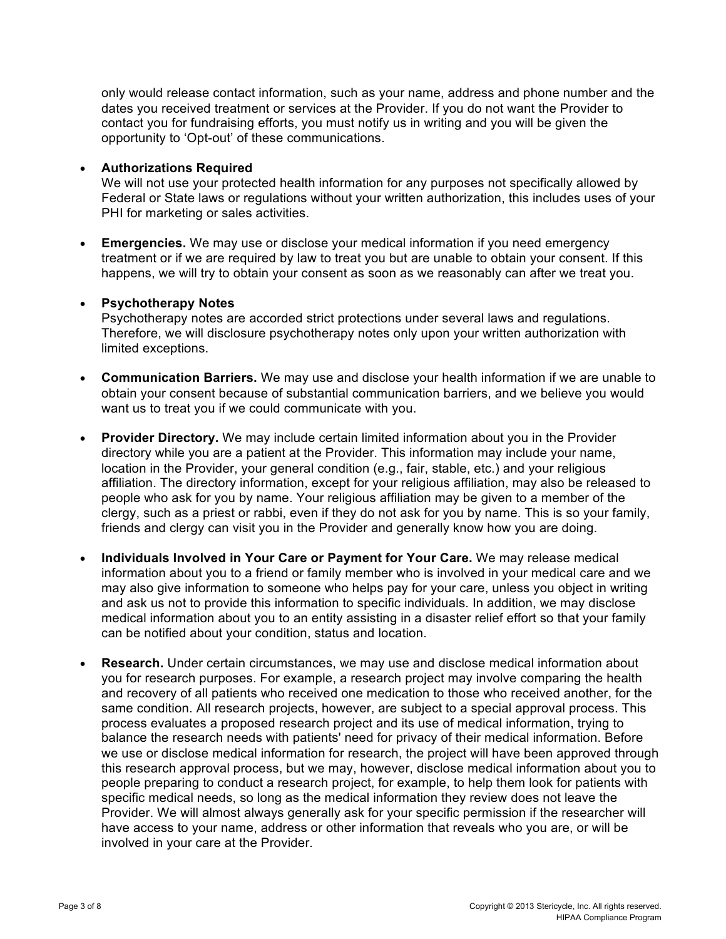only would release contact information, such as your name, address and phone number and the dates you received treatment or services at the Provider. If you do not want the Provider to contact you for fundraising efforts, you must notify us in writing and you will be given the opportunity to 'Opt-out' of these communications.

### • **Authorizations Required**

We will not use your protected health information for any purposes not specifically allowed by Federal or State laws or regulations without your written authorization, this includes uses of your PHI for marketing or sales activities.

• **Emergencies.** We may use or disclose your medical information if you need emergency treatment or if we are required by law to treat you but are unable to obtain your consent. If this happens, we will try to obtain your consent as soon as we reasonably can after we treat you.

#### • **Psychotherapy Notes**

Psychotherapy notes are accorded strict protections under several laws and regulations. Therefore, we will disclosure psychotherapy notes only upon your written authorization with limited exceptions.

- **Communication Barriers.** We may use and disclose your health information if we are unable to obtain your consent because of substantial communication barriers, and we believe you would want us to treat you if we could communicate with you.
- **Provider Directory.** We may include certain limited information about you in the Provider directory while you are a patient at the Provider. This information may include your name, location in the Provider, your general condition (e.g., fair, stable, etc.) and your religious affiliation. The directory information, except for your religious affiliation, may also be released to people who ask for you by name. Your religious affiliation may be given to a member of the clergy, such as a priest or rabbi, even if they do not ask for you by name. This is so your family, friends and clergy can visit you in the Provider and generally know how you are doing.
- **Individuals Involved in Your Care or Payment for Your Care.** We may release medical information about you to a friend or family member who is involved in your medical care and we may also give information to someone who helps pay for your care, unless you object in writing and ask us not to provide this information to specific individuals. In addition, we may disclose medical information about you to an entity assisting in a disaster relief effort so that your family can be notified about your condition, status and location.
- **Research.** Under certain circumstances, we may use and disclose medical information about you for research purposes. For example, a research project may involve comparing the health and recovery of all patients who received one medication to those who received another, for the same condition. All research projects, however, are subject to a special approval process. This process evaluates a proposed research project and its use of medical information, trying to balance the research needs with patients' need for privacy of their medical information. Before we use or disclose medical information for research, the project will have been approved through this research approval process, but we may, however, disclose medical information about you to people preparing to conduct a research project, for example, to help them look for patients with specific medical needs, so long as the medical information they review does not leave the Provider. We will almost always generally ask for your specific permission if the researcher will have access to your name, address or other information that reveals who you are, or will be involved in your care at the Provider.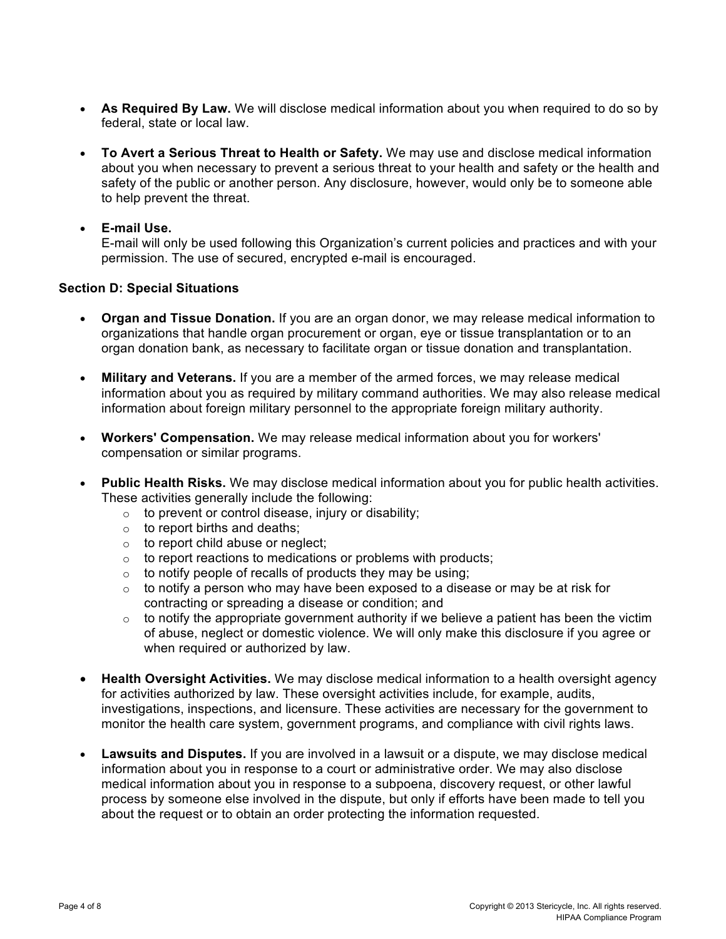- **As Required By Law.** We will disclose medical information about you when required to do so by federal, state or local law.
- **To Avert a Serious Threat to Health or Safety.** We may use and disclose medical information about you when necessary to prevent a serious threat to your health and safety or the health and safety of the public or another person. Any disclosure, however, would only be to someone able to help prevent the threat.
- **E-mail Use.**

E-mail will only be used following this Organization's current policies and practices and with your permission. The use of secured, encrypted e-mail is encouraged.

## **Section D: Special Situations**

- **Organ and Tissue Donation.** If you are an organ donor, we may release medical information to organizations that handle organ procurement or organ, eye or tissue transplantation or to an organ donation bank, as necessary to facilitate organ or tissue donation and transplantation.
- **Military and Veterans.** If you are a member of the armed forces, we may release medical information about you as required by military command authorities. We may also release medical information about foreign military personnel to the appropriate foreign military authority.
- **Workers' Compensation.** We may release medical information about you for workers' compensation or similar programs.
- **Public Health Risks.** We may disclose medical information about you for public health activities. These activities generally include the following:
	- $\circ$  to prevent or control disease, injury or disability;
	- $\circ$  to report births and deaths;
	- $\circ$  to report child abuse or neglect;
	- $\circ$  to report reactions to medications or problems with products;
	- $\circ$  to notify people of recalls of products they may be using;
	- $\circ$  to notify a person who may have been exposed to a disease or may be at risk for contracting or spreading a disease or condition; and
	- $\circ$  to notify the appropriate government authority if we believe a patient has been the victim of abuse, neglect or domestic violence. We will only make this disclosure if you agree or when required or authorized by law.
- **Health Oversight Activities.** We may disclose medical information to a health oversight agency for activities authorized by law. These oversight activities include, for example, audits, investigations, inspections, and licensure. These activities are necessary for the government to monitor the health care system, government programs, and compliance with civil rights laws.
- **Lawsuits and Disputes.** If you are involved in a lawsuit or a dispute, we may disclose medical information about you in response to a court or administrative order. We may also disclose medical information about you in response to a subpoena, discovery request, or other lawful process by someone else involved in the dispute, but only if efforts have been made to tell you about the request or to obtain an order protecting the information requested.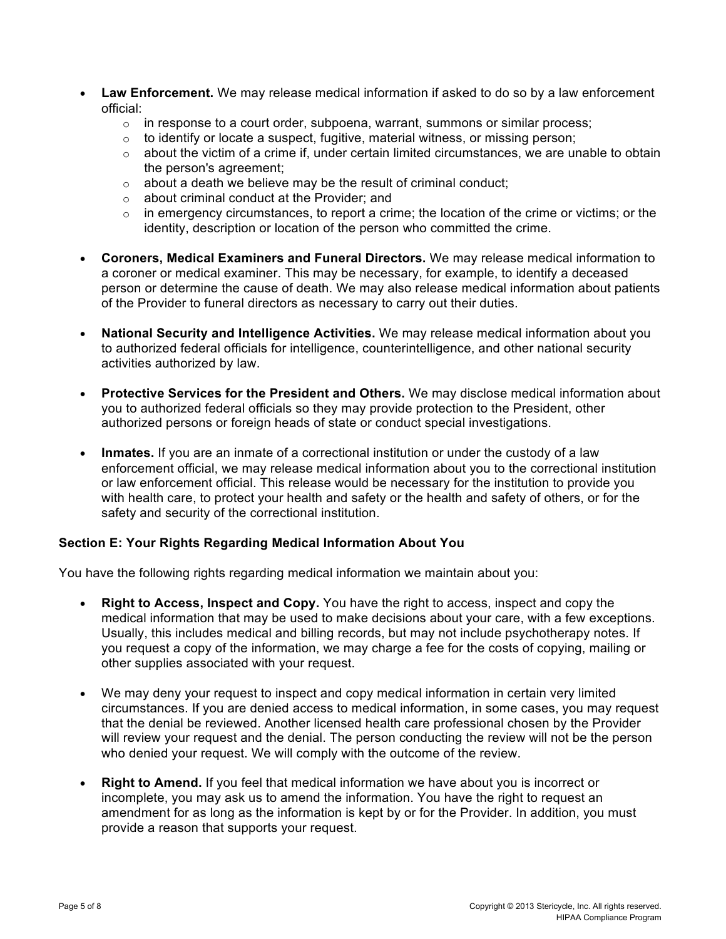- **Law Enforcement.** We may release medical information if asked to do so by a law enforcement official:
	- $\circ$  in response to a court order, subpoena, warrant, summons or similar process;
	- $\circ$  to identify or locate a suspect, fugitive, material witness, or missing person;
	- $\circ$  about the victim of a crime if, under certain limited circumstances, we are unable to obtain the person's agreement;
	- $\circ$  about a death we believe may be the result of criminal conduct;
	- o about criminal conduct at the Provider; and
	- $\circ$  in emergency circumstances, to report a crime; the location of the crime or victims; or the identity, description or location of the person who committed the crime.
- **Coroners, Medical Examiners and Funeral Directors.** We may release medical information to a coroner or medical examiner. This may be necessary, for example, to identify a deceased person or determine the cause of death. We may also release medical information about patients of the Provider to funeral directors as necessary to carry out their duties.
- **National Security and Intelligence Activities.** We may release medical information about you to authorized federal officials for intelligence, counterintelligence, and other national security activities authorized by law.
- **Protective Services for the President and Others.** We may disclose medical information about you to authorized federal officials so they may provide protection to the President, other authorized persons or foreign heads of state or conduct special investigations.
- **Inmates.** If you are an inmate of a correctional institution or under the custody of a law enforcement official, we may release medical information about you to the correctional institution or law enforcement official. This release would be necessary for the institution to provide you with health care, to protect your health and safety or the health and safety of others, or for the safety and security of the correctional institution.

## **Section E: Your Rights Regarding Medical Information About You**

You have the following rights regarding medical information we maintain about you:

- **Right to Access, Inspect and Copy.** You have the right to access, inspect and copy the medical information that may be used to make decisions about your care, with a few exceptions. Usually, this includes medical and billing records, but may not include psychotherapy notes. If you request a copy of the information, we may charge a fee for the costs of copying, mailing or other supplies associated with your request.
- We may deny your request to inspect and copy medical information in certain very limited circumstances. If you are denied access to medical information, in some cases, you may request that the denial be reviewed. Another licensed health care professional chosen by the Provider will review your request and the denial. The person conducting the review will not be the person who denied your request. We will comply with the outcome of the review.
- **Right to Amend.** If you feel that medical information we have about you is incorrect or incomplete, you may ask us to amend the information. You have the right to request an amendment for as long as the information is kept by or for the Provider. In addition, you must provide a reason that supports your request.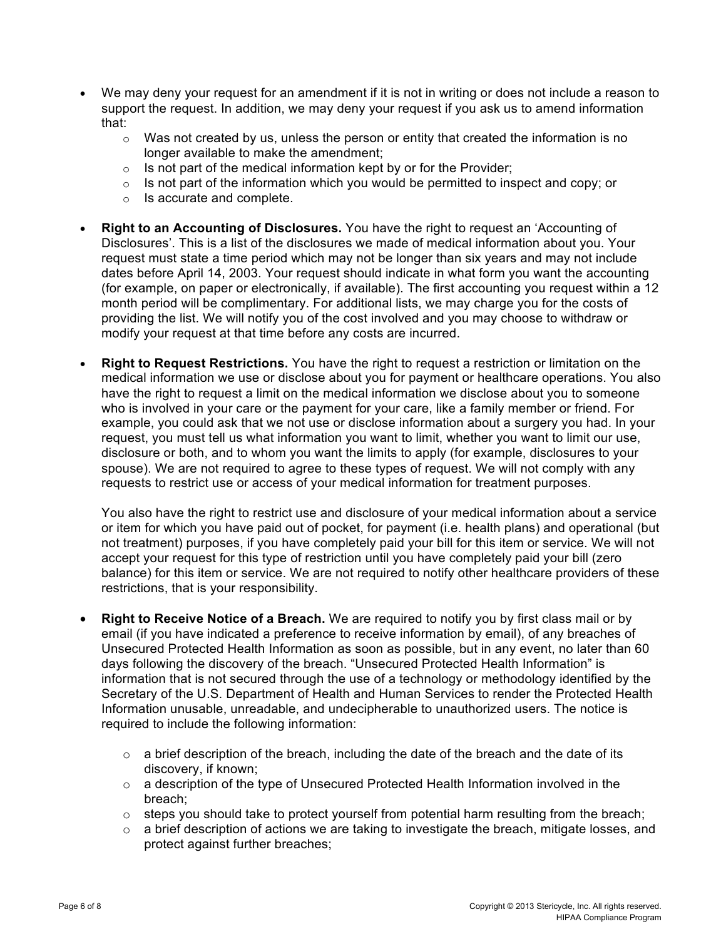- We may deny your request for an amendment if it is not in writing or does not include a reason to support the request. In addition, we may deny your request if you ask us to amend information that:
	- $\circ$  Was not created by us, unless the person or entity that created the information is no longer available to make the amendment;
	- $\circ$  Is not part of the medical information kept by or for the Provider;
	- $\circ$  Is not part of the information which you would be permitted to inspect and copy; or
	- o Is accurate and complete.
- **Right to an Accounting of Disclosures.** You have the right to request an 'Accounting of Disclosures'. This is a list of the disclosures we made of medical information about you. Your request must state a time period which may not be longer than six years and may not include dates before April 14, 2003. Your request should indicate in what form you want the accounting (for example, on paper or electronically, if available). The first accounting you request within a 12 month period will be complimentary. For additional lists, we may charge you for the costs of providing the list. We will notify you of the cost involved and you may choose to withdraw or modify your request at that time before any costs are incurred.
- **Right to Request Restrictions.** You have the right to request a restriction or limitation on the medical information we use or disclose about you for payment or healthcare operations. You also have the right to request a limit on the medical information we disclose about you to someone who is involved in your care or the payment for your care, like a family member or friend. For example, you could ask that we not use or disclose information about a surgery you had. In your request, you must tell us what information you want to limit, whether you want to limit our use, disclosure or both, and to whom you want the limits to apply (for example, disclosures to your spouse). We are not required to agree to these types of request. We will not comply with any requests to restrict use or access of your medical information for treatment purposes.

You also have the right to restrict use and disclosure of your medical information about a service or item for which you have paid out of pocket, for payment (i.e. health plans) and operational (but not treatment) purposes, if you have completely paid your bill for this item or service. We will not accept your request for this type of restriction until you have completely paid your bill (zero balance) for this item or service. We are not required to notify other healthcare providers of these restrictions, that is your responsibility.

- **Right to Receive Notice of a Breach.** We are required to notify you by first class mail or by email (if you have indicated a preference to receive information by email), of any breaches of Unsecured Protected Health Information as soon as possible, but in any event, no later than 60 days following the discovery of the breach. "Unsecured Protected Health Information" is information that is not secured through the use of a technology or methodology identified by the Secretary of the U.S. Department of Health and Human Services to render the Protected Health Information unusable, unreadable, and undecipherable to unauthorized users. The notice is required to include the following information:
	- $\circ$  a brief description of the breach, including the date of the breach and the date of its discovery, if known;
	- $\circ$  a description of the type of Unsecured Protected Health Information involved in the breach;
	- $\circ$  steps you should take to protect yourself from potential harm resulting from the breach;
	- a brief description of actions we are taking to investigate the breach, mitigate losses, and protect against further breaches;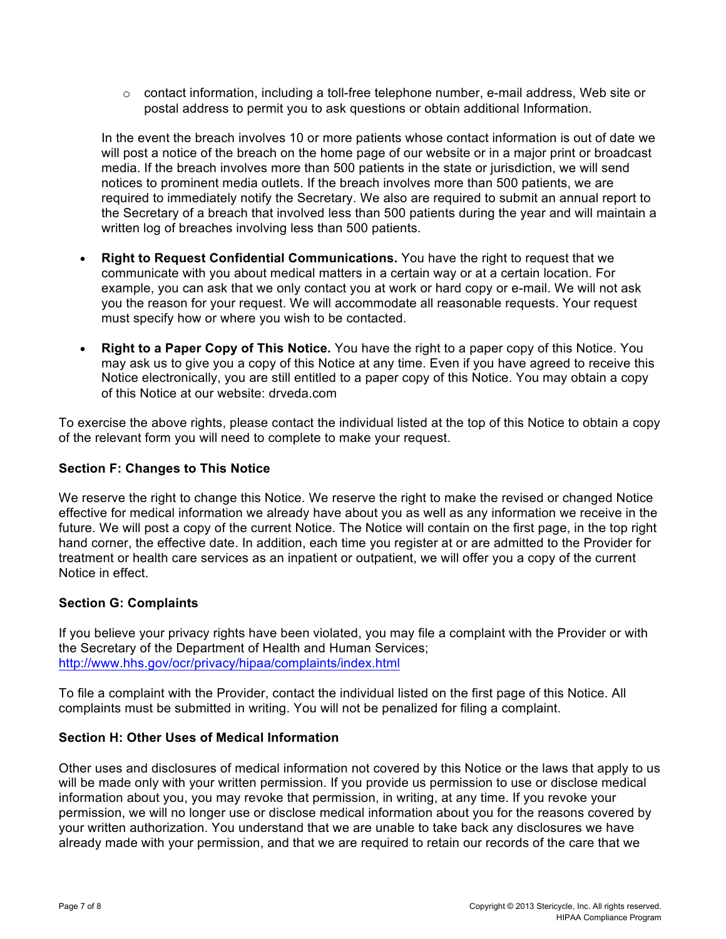$\circ$  contact information, including a toll-free telephone number, e-mail address, Web site or postal address to permit you to ask questions or obtain additional Information.

In the event the breach involves 10 or more patients whose contact information is out of date we will post a notice of the breach on the home page of our website or in a major print or broadcast media. If the breach involves more than 500 patients in the state or jurisdiction, we will send notices to prominent media outlets. If the breach involves more than 500 patients, we are required to immediately notify the Secretary. We also are required to submit an annual report to the Secretary of a breach that involved less than 500 patients during the year and will maintain a written log of breaches involving less than 500 patients.

- **Right to Request Confidential Communications.** You have the right to request that we communicate with you about medical matters in a certain way or at a certain location. For example, you can ask that we only contact you at work or hard copy or e-mail. We will not ask you the reason for your request. We will accommodate all reasonable requests. Your request must specify how or where you wish to be contacted.
- **Right to a Paper Copy of This Notice.** You have the right to a paper copy of this Notice. You may ask us to give you a copy of this Notice at any time. Even if you have agreed to receive this Notice electronically, you are still entitled to a paper copy of this Notice. You may obtain a copy of this Notice at our website: drveda.com

To exercise the above rights, please contact the individual listed at the top of this Notice to obtain a copy of the relevant form you will need to complete to make your request.

# **Section F: Changes to This Notice**

We reserve the right to change this Notice. We reserve the right to make the revised or changed Notice effective for medical information we already have about you as well as any information we receive in the future. We will post a copy of the current Notice. The Notice will contain on the first page, in the top right hand corner, the effective date. In addition, each time you register at or are admitted to the Provider for treatment or health care services as an inpatient or outpatient, we will offer you a copy of the current Notice in effect.

## **Section G: Complaints**

If you believe your privacy rights have been violated, you may file a complaint with the Provider or with the Secretary of the Department of Health and Human Services; <http://www.hhs.gov/ocr/privacy/hipaa/complaints/index.html>

To file a complaint with the Provider, contact the individual listed on the first page of this Notice. All complaints must be submitted in writing. You will not be penalized for filing a complaint.

## **Section H: Other Uses of Medical Information**

Other uses and disclosures of medical information not covered by this Notice or the laws that apply to us will be made only with your written permission. If you provide us permission to use or disclose medical information about you, you may revoke that permission, in writing, at any time. If you revoke your permission, we will no longer use or disclose medical information about you for the reasons covered by your written authorization. You understand that we are unable to take back any disclosures we have already made with your permission, and that we are required to retain our records of the care that we